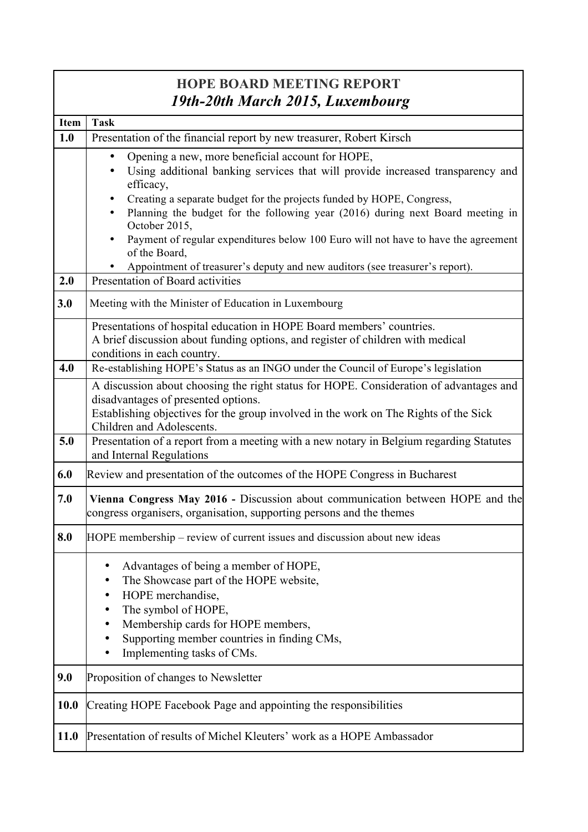| <b>HOPE BOARD MEETING REPORT</b> |                                                                                                                                                                                                                                                          |  |
|----------------------------------|----------------------------------------------------------------------------------------------------------------------------------------------------------------------------------------------------------------------------------------------------------|--|
|                                  | 19th-20th March 2015, Luxembourg                                                                                                                                                                                                                         |  |
| <b>Item</b>                      | <b>Task</b>                                                                                                                                                                                                                                              |  |
| 1.0                              | Presentation of the financial report by new treasurer, Robert Kirsch                                                                                                                                                                                     |  |
|                                  | Opening a new, more beneficial account for HOPE,<br>Using additional banking services that will provide increased transparency and<br>٠<br>efficacy,                                                                                                     |  |
|                                  | Creating a separate budget for the projects funded by HOPE, Congress,<br>Planning the budget for the following year (2016) during next Board meeting in<br>October 2015,                                                                                 |  |
|                                  | Payment of regular expenditures below 100 Euro will not have to have the agreement<br>of the Board,                                                                                                                                                      |  |
| 2.0                              | Appointment of treasurer's deputy and new auditors (see treasurer's report).<br>Presentation of Board activities                                                                                                                                         |  |
|                                  |                                                                                                                                                                                                                                                          |  |
| 3.0                              | Meeting with the Minister of Education in Luxembourg                                                                                                                                                                                                     |  |
|                                  | Presentations of hospital education in HOPE Board members' countries.<br>A brief discussion about funding options, and register of children with medical<br>conditions in each country.                                                                  |  |
| 4.0                              | Re-establishing HOPE's Status as an INGO under the Council of Europe's legislation                                                                                                                                                                       |  |
|                                  | A discussion about choosing the right status for HOPE. Consideration of advantages and<br>disadvantages of presented options.<br>Establishing objectives for the group involved in the work on The Rights of the Sick<br>Children and Adolescents.       |  |
| 5.0                              | Presentation of a report from a meeting with a new notary in Belgium regarding Statutes<br>and Internal Regulations                                                                                                                                      |  |
| 6.0                              | Review and presentation of the outcomes of the HOPE Congress in Bucharest                                                                                                                                                                                |  |
| 7.0                              | Vienna Congress May 2016 - Discussion about communication between HOPE and the<br>congress organisers, organisation, supporting persons and the themes                                                                                                   |  |
| 8.0                              | HOPE membership – review of current issues and discussion about new ideas                                                                                                                                                                                |  |
|                                  | Advantages of being a member of HOPE,<br>٠<br>The Showcase part of the HOPE website,<br>HOPE merchandise,<br>The symbol of HOPE,<br>Membership cards for HOPE members,<br>Supporting member countries in finding CMs,<br>Implementing tasks of CMs.<br>٠ |  |
| 9.0                              | Proposition of changes to Newsletter                                                                                                                                                                                                                     |  |
| 10.0                             | Creating HOPE Facebook Page and appointing the responsibilities                                                                                                                                                                                          |  |
| 11.0                             | Presentation of results of Michel Kleuters' work as a HOPE Ambassador                                                                                                                                                                                    |  |